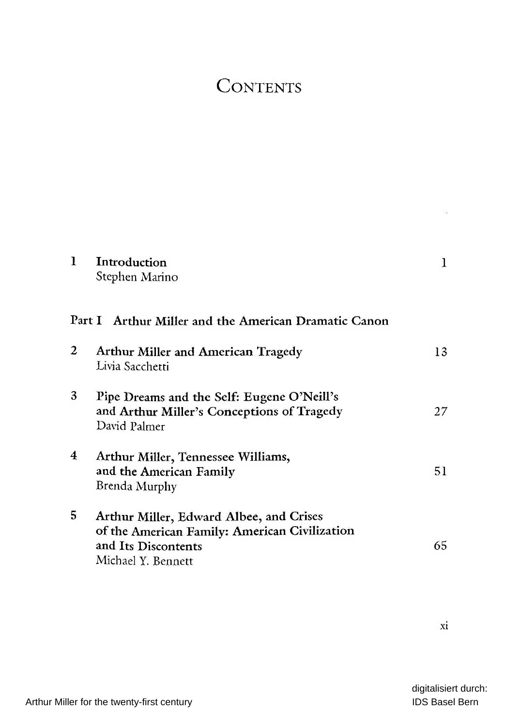## **CONTENTS**

| 1 | Introduction<br>Stephen Marino                                                                                                        | 1  |
|---|---------------------------------------------------------------------------------------------------------------------------------------|----|
|   | Part I Arthur Miller and the American Dramatic Canon                                                                                  |    |
| 2 | Arthur Miller and American Tragedy<br>Livia Sacchetti                                                                                 | 13 |
| 3 | Pipe Dreams and the Self: Eugene O'Neill's<br>and Arthur Miller's Conceptions of Tragedy<br>David Palmer                              | 27 |
| 4 | Arthur Miller, Tennessee Williams,<br>and the American Family<br>Brenda Murphy                                                        | 51 |
| 5 | Arthur Miller, Edward Albee, and Crises<br>of the American Family: American Civilization<br>and Its Discontents<br>Michael Y. Bennett | 65 |

xi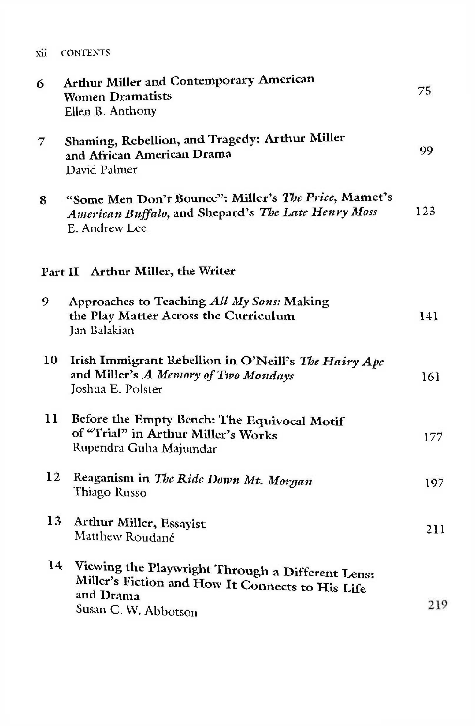| XH | <b>CONTENTS</b> |
|----|-----------------|
|    |                 |

| 6  | Arthur Miller and Contemporary American<br><b>Women Dramatists</b><br>Ellen B. Anthony                                                    | 75  |
|----|-------------------------------------------------------------------------------------------------------------------------------------------|-----|
| 7  | Shaming, Rebellion, and Tragedy: Arthur Miller<br>and African American Drama<br>David Palmer                                              | 99  |
| 8  | "Some Men Don't Bounce": Miller's The Price, Mamet's<br>American Buffalo, and Shepard's The Late Henry Moss<br>E. Andrew Lee              | 123 |
|    | Part II Arthur Miller, the Writer                                                                                                         |     |
| 9  | Approaches to Teaching All My Sons: Making<br>the Play Matter Across the Curriculum<br>Jan Balakian                                       | 141 |
| 10 | Irish Immigrant Rebellion in O'Neill's The Hairy Ape<br>and Miller's A Memory of Two Mondays<br>Joshua E. Polster                         | 161 |
| 11 | Before the Empty Bench: The Equivocal Motif<br>of "Trial" in Arthur Miller's Works<br>Rupendra Guha Majumdar                              | 177 |
| 12 | Reaganism in The Ride Down Mt. Morgan<br>Thiago Russo                                                                                     | 197 |
| 13 | Arthur Miller, Essayist<br>Matthew Roudané                                                                                                | 211 |
| 14 | Viewing the Playwright Through a Different Lens:<br>Miller's Fiction and How It Connects to His Life<br>and Drama<br>Susan C. W. Abbotson | 219 |